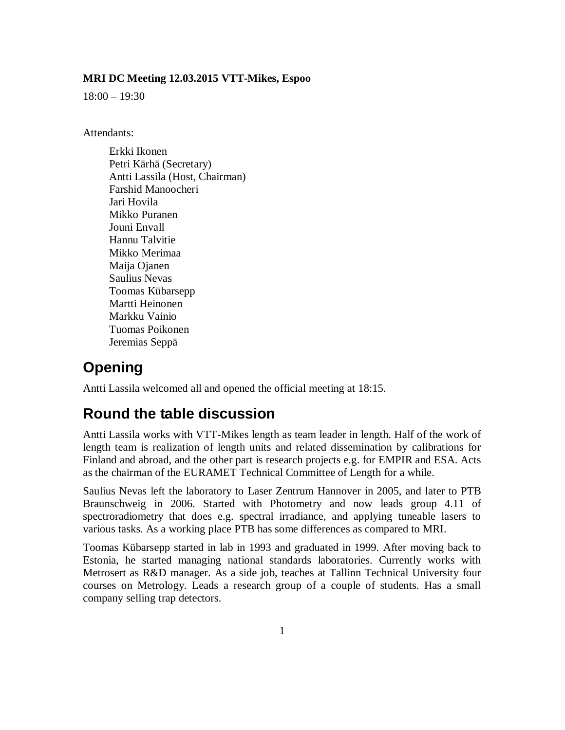#### **MRI DC Meeting 12.03.2015 VTT-Mikes, Espoo**

18:00 – 19:30

Attendants:

Erkki Ikonen Petri Kärhä (Secretary) Antti Lassila (Host, Chairman) Farshid Manoocheri Jari Hovila Mikko Puranen Jouni Envall Hannu Talvitie Mikko Merimaa Maija Ojanen Saulius Nevas Toomas Kübarsepp Martti Heinonen Markku Vainio Tuomas Poikonen Jeremias Seppä

### **Opening**

Antti Lassila welcomed all and opened the official meeting at 18:15.

#### **Round the table discussion**

Antti Lassila works with VTT-Mikes length as team leader in length. Half of the work of length team is realization of length units and related dissemination by calibrations for Finland and abroad, and the other part is research projects e.g. for EMPIR and ESA. Acts as the chairman of the EURAMET Technical Committee of Length for a while.

Saulius Nevas left the laboratory to Laser Zentrum Hannover in 2005, and later to PTB Braunschweig in 2006. Started with Photometry and now leads group 4.11 of spectroradiometry that does e.g. spectral irradiance, and applying tuneable lasers to various tasks. As a working place PTB has some differences as compared to MRI.

Toomas Kübarsepp started in lab in 1993 and graduated in 1999. After moving back to Estonia, he started managing national standards laboratories. Currently works with Metrosert as R&D manager. As a side job, teaches at Tallinn Technical University four courses on Metrology. Leads a research group of a couple of students. Has a small company selling trap detectors.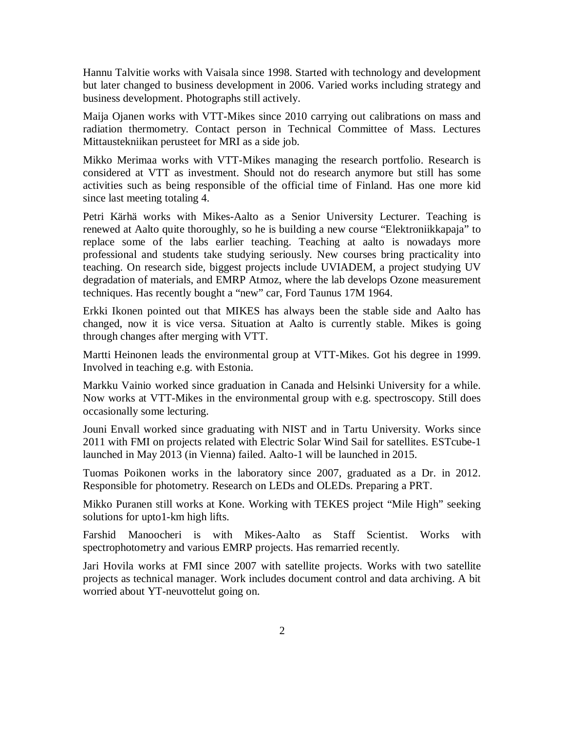Hannu Talvitie works with Vaisala since 1998. Started with technology and development but later changed to business development in 2006. Varied works including strategy and business development. Photographs still actively.

Maija Ojanen works with VTT-Mikes since 2010 carrying out calibrations on mass and radiation thermometry. Contact person in Technical Committee of Mass. Lectures Mittaustekniikan perusteet for MRI as a side job.

Mikko Merimaa works with VTT-Mikes managing the research portfolio. Research is considered at VTT as investment. Should not do research anymore but still has some activities such as being responsible of the official time of Finland. Has one more kid since last meeting totaling 4.

Petri Kärhä works with Mikes-Aalto as a Senior University Lecturer. Teaching is renewed at Aalto quite thoroughly, so he is building a new course "Elektroniikkapaja" to replace some of the labs earlier teaching. Teaching at aalto is nowadays more professional and students take studying seriously. New courses bring practicality into teaching. On research side, biggest projects include UVIADEM, a project studying UV degradation of materials, and EMRP Atmoz, where the lab develops Ozone measurement techniques. Has recently bought a "new" car, Ford Taunus 17M 1964.

Erkki Ikonen pointed out that MIKES has always been the stable side and Aalto has changed, now it is vice versa. Situation at Aalto is currently stable. Mikes is going through changes after merging with VTT.

Martti Heinonen leads the environmental group at VTT-Mikes. Got his degree in 1999. Involved in teaching e.g. with Estonia.

Markku Vainio worked since graduation in Canada and Helsinki University for a while. Now works at VTT-Mikes in the environmental group with e.g. spectroscopy. Still does occasionally some lecturing.

Jouni Envall worked since graduating with NIST and in Tartu University. Works since 2011 with FMI on projects related with Electric Solar Wind Sail for satellites. ESTcube-1 launched in May 2013 (in Vienna) failed. Aalto-1 will be launched in 2015.

Tuomas Poikonen works in the laboratory since 2007, graduated as a Dr. in 2012. Responsible for photometry. Research on LEDs and OLEDs. Preparing a PRT.

Mikko Puranen still works at Kone. Working with TEKES project "Mile High" seeking solutions for upto1-km high lifts.

Farshid Manoocheri is with Mikes-Aalto as Staff Scientist. Works with spectrophotometry and various EMRP projects. Has remarried recently.

Jari Hovila works at FMI since 2007 with satellite projects. Works with two satellite projects as technical manager. Work includes document control and data archiving. A bit worried about YT-neuvottelut going on.